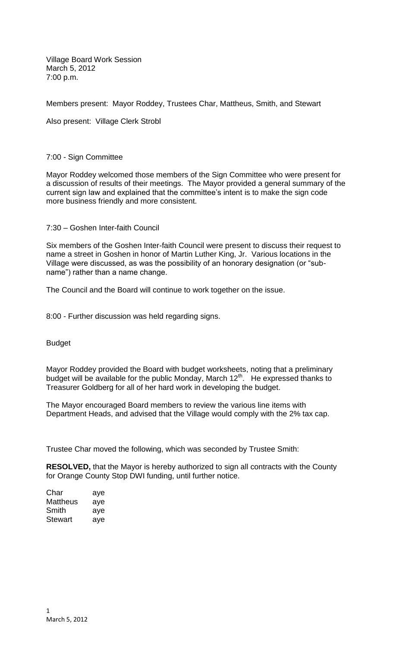Village Board Work Session March 5, 2012 7:00 p.m.

Members present: Mayor Roddey, Trustees Char, Mattheus, Smith, and Stewart

Also present: Village Clerk Strobl

## 7:00 - Sign Committee

Mayor Roddey welcomed those members of the Sign Committee who were present for a discussion of results of their meetings. The Mayor provided a general summary of the current sign law and explained that the committee's intent is to make the sign code more business friendly and more consistent.

7:30 – Goshen Inter-faith Council

Six members of the Goshen Inter-faith Council were present to discuss their request to name a street in Goshen in honor of Martin Luther King, Jr. Various locations in the Village were discussed, as was the possibility of an honorary designation (or "subname") rather than a name change.

The Council and the Board will continue to work together on the issue.

8:00 - Further discussion was held regarding signs.

Budget

Mayor Roddey provided the Board with budget worksheets, noting that a preliminary budget will be available for the public Monday, March  $12<sup>th</sup>$ . He expressed thanks to Treasurer Goldberg for all of her hard work in developing the budget.

The Mayor encouraged Board members to review the various line items with Department Heads, and advised that the Village would comply with the 2% tax cap.

Trustee Char moved the following, which was seconded by Trustee Smith:

**RESOLVED,** that the Mayor is hereby authorized to sign all contracts with the County for Orange County Stop DWI funding, until further notice.

| Char     | aye |
|----------|-----|
| Mattheus | aye |
| Smith    | aye |
| Stewart  | aye |